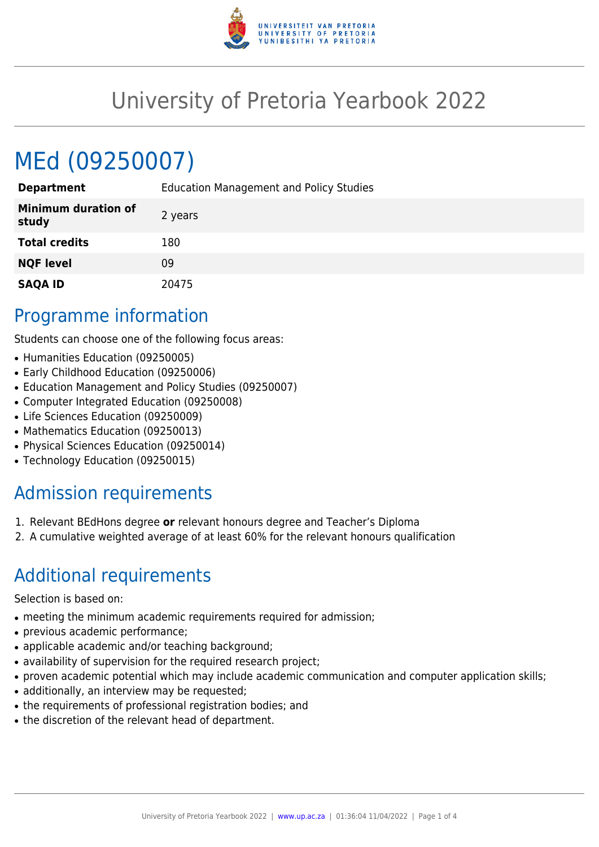

## University of Pretoria Yearbook 2022

# MEd (09250007)

| <b>Department</b>                   | <b>Education Management and Policy Studies</b> |
|-------------------------------------|------------------------------------------------|
| <b>Minimum duration of</b><br>study | 2 years                                        |
| <b>Total credits</b>                | 180                                            |
| <b>NQF level</b>                    | 09                                             |
| <b>SAQA ID</b>                      | 20475                                          |

#### Programme information

Students can choose one of the following focus areas:

- Humanities Education (09250005)
- Early Childhood Education (09250006)
- Education Management and Policy Studies (09250007)
- Computer Integrated Education (09250008)
- Life Sciences Education (09250009)
- Mathematics Education (09250013)
- Physical Sciences Education (09250014)
- Technology Education (09250015)

### Admission requirements

- 1. Relevant BEdHons degree **or** relevant honours degree and Teacher's Diploma
- 2. A cumulative weighted average of at least 60% for the relevant honours qualification

#### Additional requirements

Selection is based on:

- meeting the minimum academic requirements required for admission;
- previous academic performance;
- applicable academic and/or teaching background;
- availability of supervision for the required research project;
- proven academic potential which may include academic communication and computer application skills;
- additionally, an interview may be requested;
- the requirements of professional registration bodies; and
- the discretion of the relevant head of department.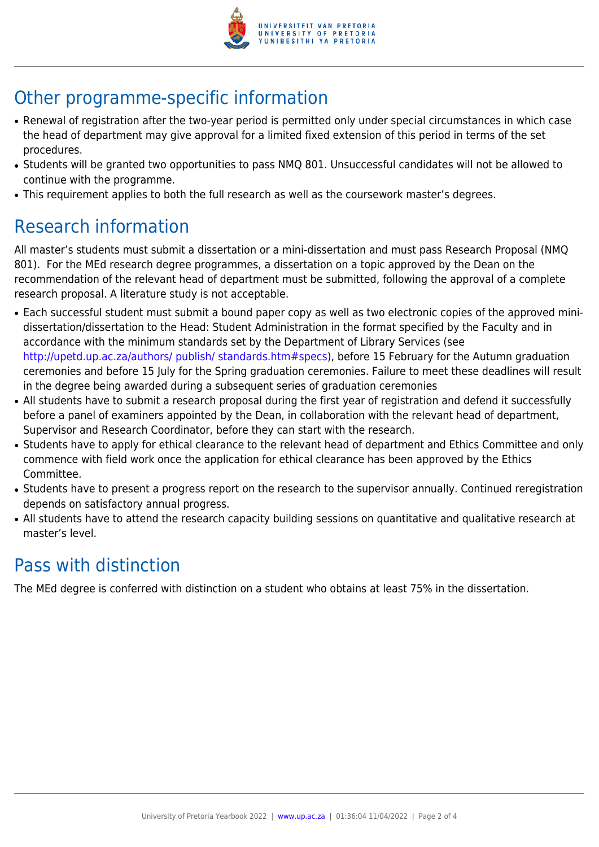

### Other programme-specific information

- Renewal of registration after the two-year period is permitted only under special circumstances in which case the head of department may give approval for a limited fixed extension of this period in terms of the set procedures.
- Students will be granted two opportunities to pass NMQ 801. Unsuccessful candidates will not be allowed to continue with the programme.
- This requirement applies to both the full research as well as the coursework master's degrees.

### Research information

All master's students must submit a dissertation or a mini-dissertation and must pass Research Proposal (NMQ 801). For the MEd research degree programmes, a dissertation on a topic approved by the Dean on the recommendation of the relevant head of department must be submitted, following the approval of a complete research proposal. A literature study is not acceptable.

- Each successful student must submit a bound paper copy as well as two electronic copies of the approved minidissertation/dissertation to the Head: Student Administration in the format specified by the Faculty and in accordance with the minimum standards set by the Department of Library Services (see <http://upetd.up.ac.za/authors/ publish/ standards.htm#specs>), before 15 February for the Autumn graduation ceremonies and before 15 July for the Spring graduation ceremonies. Failure to meet these deadlines will result in the degree being awarded during a subsequent series of graduation ceremonies
- All students have to submit a research proposal during the first year of registration and defend it successfully before a panel of examiners appointed by the Dean, in collaboration with the relevant head of department, Supervisor and Research Coordinator, before they can start with the research.
- Students have to apply for ethical clearance to the relevant head of department and Ethics Committee and only commence with field work once the application for ethical clearance has been approved by the Ethics Committee.
- Students have to present a progress report on the research to the supervisor annually. Continued reregistration depends on satisfactory annual progress.
- All students have to attend the research capacity building sessions on quantitative and qualitative research at master's level.

### Pass with distinction

The MEd degree is conferred with distinction on a student who obtains at least 75% in the dissertation.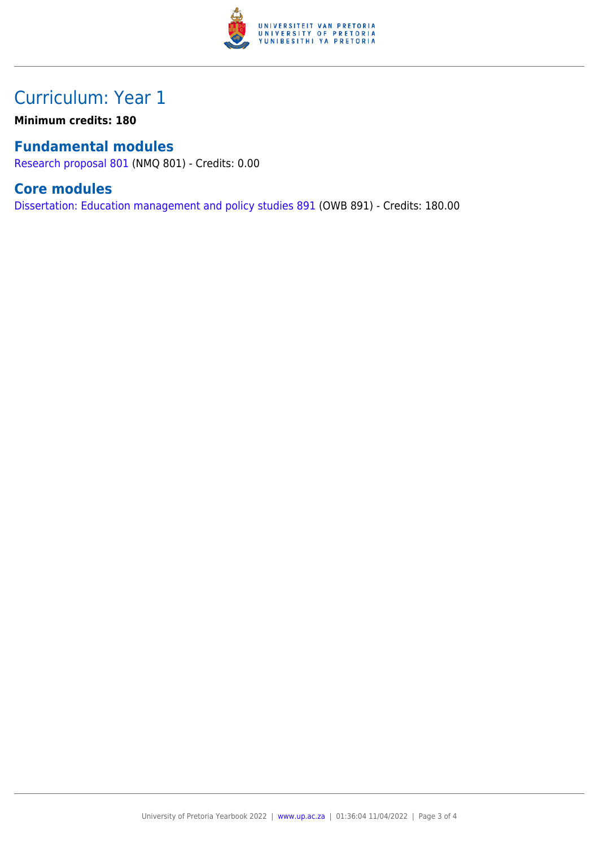

### Curriculum: Year 1

**Minimum credits: 180**

#### **Fundamental modules**

[Research proposal 801](https://www.up.ac.za/mechanical-and-aeronautical-engineering/yearbooks/2022/modules/view/NMQ 801) (NMQ 801) - Credits: 0.00

#### **Core modules**

[Dissertation: Education management and policy studies 891](https://www.up.ac.za/mechanical-and-aeronautical-engineering/yearbooks/2022/modules/view/OWB 891) (OWB 891) - Credits: 180.00